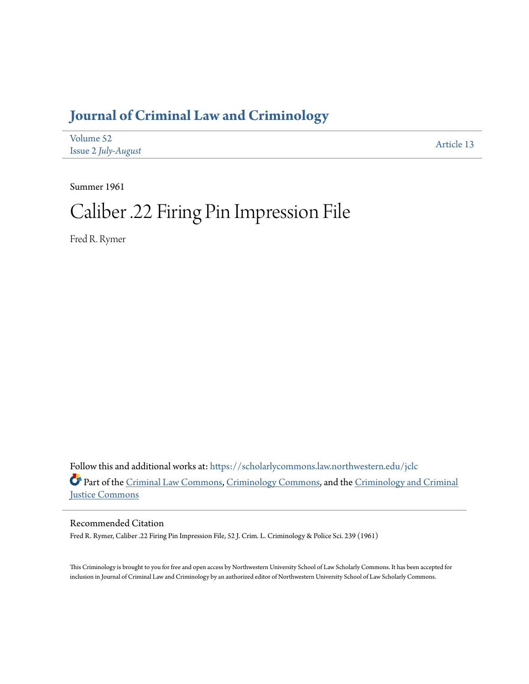# **[Journal of Criminal Law and Criminology](https://scholarlycommons.law.northwestern.edu/jclc?utm_source=scholarlycommons.law.northwestern.edu%2Fjclc%2Fvol52%2Fiss2%2F13&utm_medium=PDF&utm_campaign=PDFCoverPages)**

| Volume 52                  | Article 13 |
|----------------------------|------------|
| <b>Issue 2 July-August</b> |            |

Summer 1961

# Caliber .22 Firing Pin Impression File

Fred R. Rymer

Follow this and additional works at: [https://scholarlycommons.law.northwestern.edu/jclc](https://scholarlycommons.law.northwestern.edu/jclc?utm_source=scholarlycommons.law.northwestern.edu%2Fjclc%2Fvol52%2Fiss2%2F13&utm_medium=PDF&utm_campaign=PDFCoverPages) Part of the [Criminal Law Commons](http://network.bepress.com/hgg/discipline/912?utm_source=scholarlycommons.law.northwestern.edu%2Fjclc%2Fvol52%2Fiss2%2F13&utm_medium=PDF&utm_campaign=PDFCoverPages), [Criminology Commons](http://network.bepress.com/hgg/discipline/417?utm_source=scholarlycommons.law.northwestern.edu%2Fjclc%2Fvol52%2Fiss2%2F13&utm_medium=PDF&utm_campaign=PDFCoverPages), and the [Criminology and Criminal](http://network.bepress.com/hgg/discipline/367?utm_source=scholarlycommons.law.northwestern.edu%2Fjclc%2Fvol52%2Fiss2%2F13&utm_medium=PDF&utm_campaign=PDFCoverPages) [Justice Commons](http://network.bepress.com/hgg/discipline/367?utm_source=scholarlycommons.law.northwestern.edu%2Fjclc%2Fvol52%2Fiss2%2F13&utm_medium=PDF&utm_campaign=PDFCoverPages)

## Recommended Citation

Fred R. Rymer, Caliber .22 Firing Pin Impression File, 52 J. Crim. L. Criminology & Police Sci. 239 (1961)

This Criminology is brought to you for free and open access by Northwestern University School of Law Scholarly Commons. It has been accepted for inclusion in Journal of Criminal Law and Criminology by an authorized editor of Northwestern University School of Law Scholarly Commons.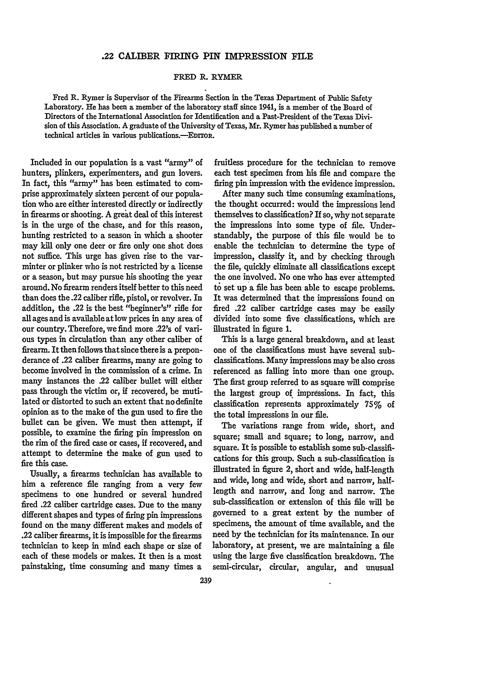### **.22 CALIBER FIRING PIN IMPRESSION FILE**

#### FRED R. RYMER

Fred R. Rymer is Supervisor of the Firearms Section in the Texas Department of Public Safety Laboratory. He has been a member of the laboratory staff since 1941, is a member of the Board of Directors of the International Association for Identification and a Past-President of the Texas Division of this Association. **A** graduate of the University of Texas, Mr. Rymer has published a number of technical articles in various publications.--EDITOR.

Included in our population is a vast "army" of hunters, plinkers, experimenters, and gun lovers. In fact, this "army" has been estimated to comprise approximately sixteen percent of our population who are either interested directly or indirectly in firearms or shooting. A great deal of this interest is in the urge of the chase, and for this reason, hunting restricted to a season in which a shooter may kill only one deer or fire only one shot does not suffice. This urge has given rise to the varminter or plinker who is not restricted by a license or a season, but may pursue his shooting the year around. No firearm renders itself better to this need than does the .22 caliber rifle, pistol, or revolver. In addition, the .22 is the best "beginner's" rifle for all ages and is available at low prices in any area of our country. Therefore, we find more .22's of various types in circulation than any other caliber of firearm. It then follows that since there is a preponderance of .22 caliber firearms, many are going to become involved in the commission of a crime. In many instances the .22 caliber bullet will either pass through the victim or, if recovered, be mutilated or distorted to such an extent that no definite opinion as to the make of the gun used to fire the bullet can be given. We must then attempt, if possible, to examine the firing pin impression on the rim of the fired case or cases, if recovered, and attempt to determine the make of gun used to fire this case.

Usually, a firearms technician has available to him a reference file ranging from a very few specimens to one hundred or several hundred fired .22 caliber cartridge cases. Due to the many different shapes and types of firing pin impressions found on the many different makes and models of .22 caliber firearms, it is impossible for the firearms technician to keep in mind each shape or size of each of these models or makes. It then is a most painstaking, time consuming and many times a

fruitless procedure for the technician to remove each test specimen from his file and compare the firing pin impression with the evidence impression.

After many such time consuming examinations, the thought occurred: would the impressions lend themselves to classification? If so, why not separate the impressions into some type of file. Understandably, the purpose of this file would be to enable the technician to determine the type of impression, classify it, and by checking through the file, quickly eliminate all classifications except the one involved. No one who has ever attempted to set up a file has been able to escape problems. It was determined that the impressions found on fired .22 caliber cartridge cases may be easily divided into some five classifications, which are illustrated in figure 1.

This is a large general breakdown, and at least one of the classifications must have several subclassifications. Many impressions may be also cross referenced as falling into more than one group. The first group referred to as square will comprise the largest group of impressions. In fact, this classification represents approximately **75%** of the total impressions in our file.

The variations range from wide, short, and square; small and square; to long, narrow, and square. It is possible to establish some sub-classifications for this group. Such a sub-classification is illustrated in figure 2, short and wide, half-length and wide, long and wide, short and narrow, halflength and narrow, and long and narrow. The sub-classification or extension of this file will be governed to a great extent by the number of specimens, the amount of time available, and the need by the technician for its maintenance. In our laboratory, at present, we are maintaining a file using the large five classification breakdown. The semi-circular, circular, angular, and unusual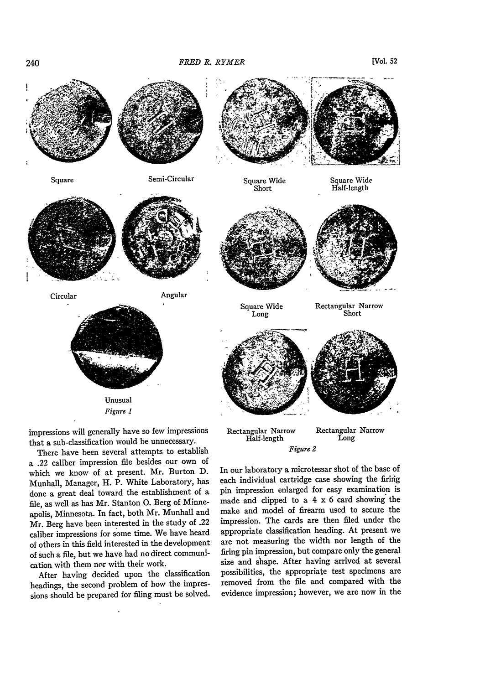

impressions will generally have so few impressions that a sub-classification would be unnecessary.

There have been several attempts to establish a .22 caliber impression file besides our own of which we know of at present. Mr. Burton D. Munhall, Manager, H. P. White Laboratory, has done a great deal toward the establishment of a file, as well as has Mr. Stanton **0.** Berg of Minneapolis, Minnesota. In fact, both Mr. Munhall and Mr. Berg have been interested in the study of .22 caliber impressions for some time. We have heard of others in this field interested in the development of such a file, but we have had no direct communication with them nor with their work.

After having decided upon the classification headings, the second problem of how the impressions should be prepared for filing must be solved.

Rectangular Narrow Long *Figure 2*

In our laboratory a microtessar shot of the base of each individual cartridge case showing the firing pin impression enlarged for easy examination is made and dipped to a 4 x 6 card showing the make and model of firearm used to secure the impression. The cards are then filed under the appropriate classification heading. At present we are not measuring the width nor length of the firing pin impression, but compare only the general size and shape. After having arrived at several possibilities, the appropriate test specimens are removed from the file and compared with the evidence impression; however, we are now in the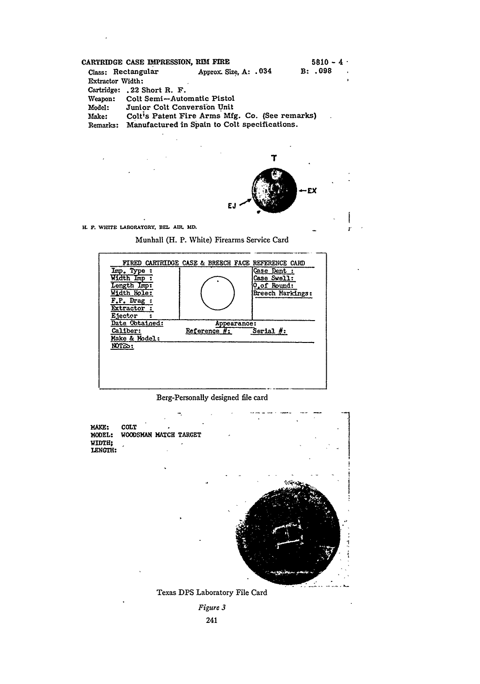|                  |                            | CARTRIDGE CASE IMPRESSION, RIM FIRE            | $5810 - 4$                |
|------------------|----------------------------|------------------------------------------------|---------------------------|
|                  | Class: Rectangular         | Approx. Size, A: . 034                         | B: .098<br>$\overline{1}$ |
| Extractor Width: |                            |                                                |                           |
|                  | Cartridge: .22 Short R. F. |                                                |                           |
| Weapon:          |                            | Colt Semi-Automatic Pistol                     |                           |
| Model:           |                            | Junior Colt Conversion Unit                    |                           |
| Make:            |                            | Colt's Patent Fire Arms Mfg. Co. (See remarks) |                           |
| Remarks:         |                            | Manufactured in Spain to Colt specifications.  |                           |



**i** .

*I.* **F. wmE** LABORAToRY. **SL AIR. MD.**

Munhall (H. P. White) Firearms Service Card



Berg-Personally designed file card



Texas DPS Laboratory File Card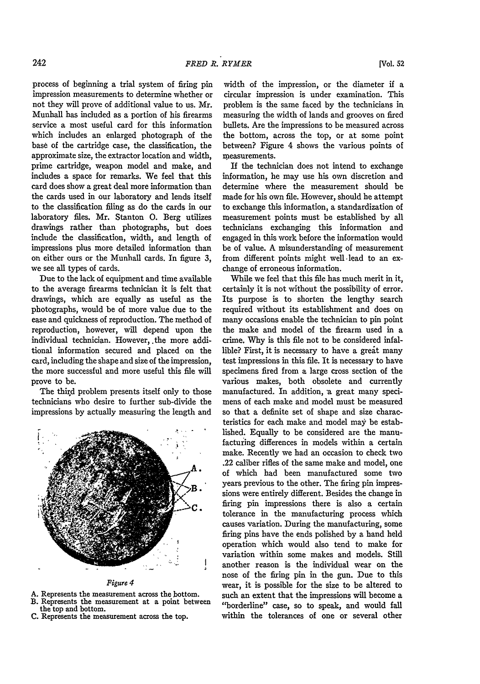process of beginning a trial system of firing pin impression measurements to determine whether or not they will prove of additional value to us. Mr. Munhall has included as a portion of his firearms service a most useful card for this information which includes an enlarged photograph of the base of the cartridge case, the classification, the approximate size, the extractor location and width, prime cartridge, weapon model and make, and includes a space for remarks. We feel that this card does show a great deal more information than the cards used in our laboratory and lends itself to the classification filing as do the cards in our laboratory files. Mr. Stanton **0.** Berg utilizes drawings rather than photographs, but does include the classification, width, and length of impressions plus more detailed information than on either ours or the Munhall cards. In figure 3, we see all types of cards.

Due to the lack of equipment and time available to the average firearms technician it is felt that drawings, which are equally as useful as the photographs, would be of more value due to the ease and quickness of reproduction. The method of reproduction, however, will depend upon the individual technician. However, the more additional information secured and placed on the card, including the shape and size of the impression, the more successful and more useful this file will prove to be.

The third problem presents itself only to those technicians who desire to further sub-divide the impressions by actually measuring the length and



*Figure 4*

- A. Represents the measurement across the bottom.
- B. Represents the measurement at a point between the top and bottom.
- C. Represents the measurement across the top.

width of the impression, or the diameter if a circular impression is under examination. This problem is the same faced by the technicians in measuring the width of lands and grooves on fired bullets. Are the impressions to be measured across the bottom, across the top, or at some point between? Figure 4 shows the various points of measurements.

**If** the technician does not intend to exchange information, he may use his own discretion and determine where the measurement should be made for his own file. However, should he attempt to exchange this information, a standardization of measurement points must be established by all technicians exchanging this information and engaged in this work before the information would be of value. A misunderstanding of measurement from different points might well -lead to an exchange of erroneous information.

While we feel that this file has much merit in it, certainly it is not without the possibility of error. Its purpose is to shorten the lengthy search required without its establishment and does on many occasions enable the technician to pin point the make and model of the firearm used in a crime. Why is this file not to be considered infallible? First, it is necessary to have a great many test impressions in this file. It is necessary to have specimens fired from a large cross section of the various makes, both obsolete and currently manufactured. In addition, a great many specimens of each make and model must be measured so that a definite set of shape and size characteristics for each make and model may be established. Equally to be considered are the manufacturing differences in models within a certain make. Recently we had an occasion to check two .22 caliber rifles of the same make and model, one of which had been manufactured some two years previous to the other. The firing pin impressions were entirely different. Besides the change in firing pin impressions there is also a certain tolerance in the manufacturing process which causes variation. During the manufacturing, some firing pins have the ends polished by a hand held operation which would also tend to make for variation within some makes and models. Still another reason is the individual wear on the nose of the firing pin in the gun. Due to this wear, it is possible for the size to be altered to such an extent that the impressions will become a "borderline" case, so to speak, and would fall within the tolerances of one or several other